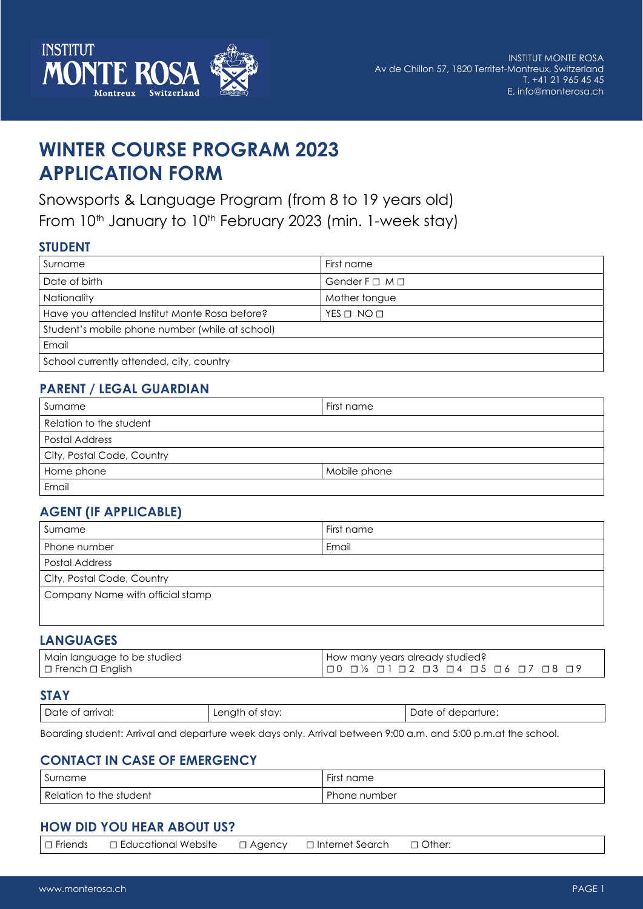

# **WINTER COURSE PROGRAM 2023 APPLICATION FORM**

Snowsports & Language Program (from 8 to 19 years old) From 10<sup>th</sup> January to 10<sup>th</sup> February 2023 (min. 1-week stay)

#### **STUDENT**

| Surname                                         | First name                   |
|-------------------------------------------------|------------------------------|
| Date of birth                                   | Gender $F \square M \square$ |
| Nationality                                     | Mother tongue                |
| Have you attended Institut Monte Rosa before?   | $YES \Box NO \Box$           |
| Student's mobile phone number (while at school) |                              |
| Email                                           |                              |
| School currently attended, city, country        |                              |

### **PARENT / LEGAL GUARDIAN**

| Surname                    | First name   |
|----------------------------|--------------|
| Relation to the student    |              |
| Postal Address             |              |
| City, Postal Code, Country |              |
| Home phone                 | Mobile phone |
| Email                      |              |

## **AGENT (IF APPLICABLE)**

| First name                       |  |  |
|----------------------------------|--|--|
| Email                            |  |  |
| Postal Address                   |  |  |
| City, Postal Code, Country       |  |  |
| Company Name with official stamp |  |  |
|                                  |  |  |
|                                  |  |  |

#### **LANGUAGES**

| Main language to be studied | How many years already studied?               |
|-----------------------------|-----------------------------------------------|
| ! □ French □ English        | 1 0 0 1⁄2 0 1 0 2 0 3 0 4 0 5 0 6 0 7 0 8 0 9 |

#### **STAY**

| Date.<br>of arrival:<br>. | enath<br>stav:<br>OТ | departure:<br>`)∩te<br>$\mathbf{H}$<br>.<br>. |
|---------------------------|----------------------|-----------------------------------------------|
|---------------------------|----------------------|-----------------------------------------------|

Boarding student: Arrival and departure week days only. Arrival between 9:00 a.m. and 5:00 p.m.at the school.

#### **CONTACT IN CASE OF EMERGENCY**

| $\sim$                  | $- \cdot$    |
|-------------------------|--------------|
| Surname                 | First name   |
| Relation to the student | Phone number |

#### **HOW DID YOU HEAR ABOUT US?**

|--|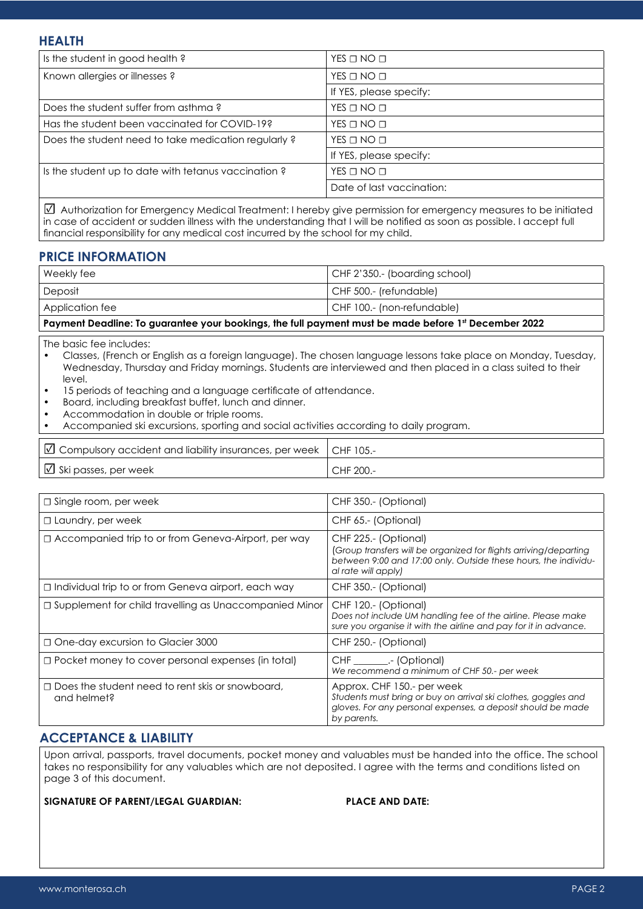| Is the student in good health?                      | $YES \Box NO \Box$        |
|-----------------------------------------------------|---------------------------|
| Known allergies or illnesses?                       | $YES \Box NO \Box$        |
|                                                     | If YES, please specify:   |
| Does the student suffer from asthma?                | $YES \Box NO \Box$        |
| Has the student been vaccinated for COVID-19?       | $YES \Box NO \Box$        |
| Does the student need to take medication regularly? | $YES \Box NO \Box$        |
|                                                     | If YES, please specify:   |
| Is the student up to date with tetanus vaccination? | $YES \Box NO \Box$        |
|                                                     | Date of last vaccination: |

☑ Authorization for Emergency Medical Treatment: I hereby give permission for emergency measures to be initiated in case of accident or sudden illness with the understanding that I will be notified as soon as possible. I accept full financial responsibility for any medical cost incurred by the school for my child.

#### **PRICE INFORMATION**

| Weekly fee                                                                                           | CHF 2'350.- (boarding school) |  |
|------------------------------------------------------------------------------------------------------|-------------------------------|--|
| Deposit                                                                                              | CHF 500.- (refundable)        |  |
| Application fee                                                                                      | CHF 100.- (non-refundable)    |  |
| Payment Deadline: To guarantee your bookings, the full payment must be made before 1st December 2022 |                               |  |

The basic fee includes:

• Classes, (French or English as a foreign language). The chosen language lessons take place on Monday, Tuesday, Wednesday, Thursday and Friday mornings. Students are interviewed and then placed in a class suited to their level.

- 15 periods of teaching and a language certificate of attendance.
- Board, including breakfast buffet, lunch and dinner.
- Accommodation in double or triple rooms.
- Accompanied ski excursions, sporting and social activities according to daily program.

| $\vert\,\boxdot$ Compulsory accident and liability insurances, per week $\,\,\vert$ CHF 105.- |           |
|-----------------------------------------------------------------------------------------------|-----------|
| $\Box$ Ski passes, per week                                                                   | CHF 200.- |

| $\Box$ Single room, per week                                           | CHF 350.- (Optional)                                                                                                                                                                |
|------------------------------------------------------------------------|-------------------------------------------------------------------------------------------------------------------------------------------------------------------------------------|
| $\Box$ Laundry, per week                                               | CHF 65.- (Optional)                                                                                                                                                                 |
| □ Accompanied trip to or from Geneva-Airport, per way                  | CHF 225.- (Optional)<br>(Group transfers will be organized for flights arriving/departing<br>between 9:00 and 17:00 only. Outside these hours, the individu-<br>al rate will apply) |
| □ Individual trip to or from Geneva airport, each way                  | CHF 350.- (Optional)                                                                                                                                                                |
| □ Supplement for child travelling as Unaccompanied Minor               | CHF 120.- (Optional)<br>Does not include UM handling fee of the airline. Please make<br>sure you organise it with the airline and pay for it in advance.                            |
| □ One-day excursion to Glacier 3000                                    | CHF 250.- (Optional)                                                                                                                                                                |
| $\Box$ Pocket money to cover personal expenses (in total)              | CHF __________.- (Optional)<br>We recommend a minimum of CHF 50 .- per week                                                                                                         |
| $\Box$ Does the student need to rent skis or snowboard,<br>and helmet? | Approx. CHF 150.- per week<br>Students must bring or buy on arrival ski clothes, goggles and<br>gloves. For any personal expenses, a deposit should be made<br>by parents.          |

#### **ACCEPTANCE & LIABILITY**

Upon arrival, passports, travel documents, pocket money and valuables must be handed into the office. The school takes no responsibility for any valuables which are not deposited. I agree with the terms and conditions listed on page 3 of this document.

#### **SIGNATURE OF PARENT/LEGAL GUARDIAN: PLACE AND DATE:**